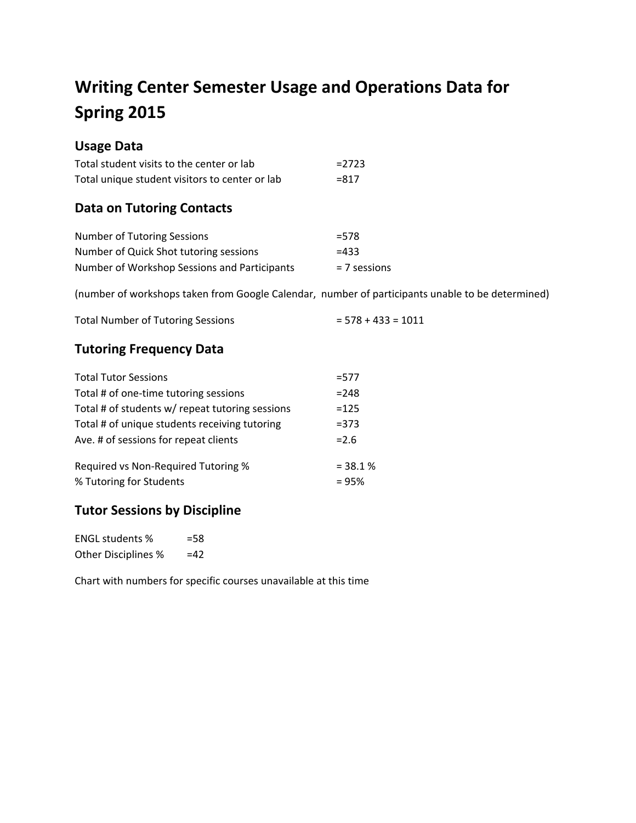# **Writing Center Semester Usage and Operations Data for Spring 2015**

# **Usage Data**

| Total student visits to the center or lab      | $= 2723$ |
|------------------------------------------------|----------|
| Total unique student visitors to center or lab | $= 817$  |

## **Data on Tutoring Contacts**

| <b>Number of Tutoring Sessions</b>           | $= 578$        |
|----------------------------------------------|----------------|
| Number of Quick Shot tutoring sessions       | $=433$         |
| Number of Workshop Sessions and Participants | $= 7$ sessions |

(number of workshops taken from Google Calendar, number of participants unable to be determined)

| <b>Total Number of Tutoring Sessions</b> | $= 578 + 433 = 1011$ |
|------------------------------------------|----------------------|
|------------------------------------------|----------------------|

## **Tutoring Frequency Data**

| <b>Total Tutor Sessions</b>                     | $= 577$    |
|-------------------------------------------------|------------|
| Total # of one-time tutoring sessions           | $= 248$    |
| Total # of students w/ repeat tutoring sessions | $=125$     |
| Total # of unique students receiving tutoring   | $= 373$    |
| Ave. # of sessions for repeat clients           | $= 2.6$    |
| Required vs Non-Required Tutoring %             | $= 38.1 %$ |
| % Tutoring for Students                         | $= 95%$    |

## **Tutor Sessions by Discipline**

| <b>ENGL students %</b>     | $=$ 58 |
|----------------------------|--------|
| <b>Other Disciplines %</b> | $=42$  |

Chart with numbers for specific courses unavailable at this time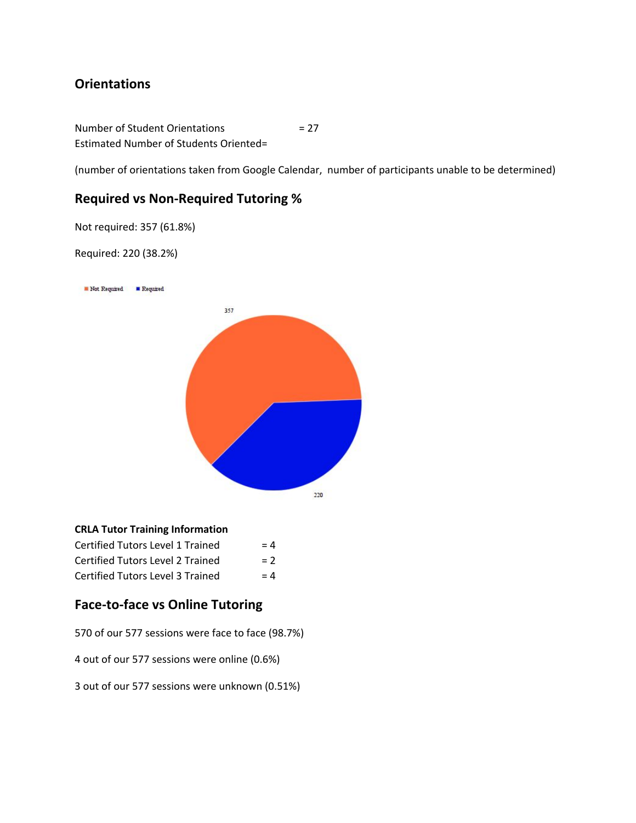### **Orientations**

Number of Student Orientations = 27 Estimated Number of Students Oriented=

(number of orientations taken from Google Calendar, number of participants unable to be determined)

#### **Required vs Non-Required Tutoring %**

Not required: 357 (61.8%)

Required: 220 (38.2%)

Not Required F Required



#### **CRLA Tutor Training Information**

| <b>Certified Tutors Level 1 Trained</b> | $= 4$ |
|-----------------------------------------|-------|
| Certified Tutors Level 2 Trained        | $= 2$ |
| Certified Tutors Level 3 Trained        | $= 4$ |

### **Face-to-face vs Online Tutoring**

570 of our 577 sessions were face to face (98.7%)

4 out of our 577 sessions were online (0.6%)

3 out of our 577 sessions were unknown (0.51%)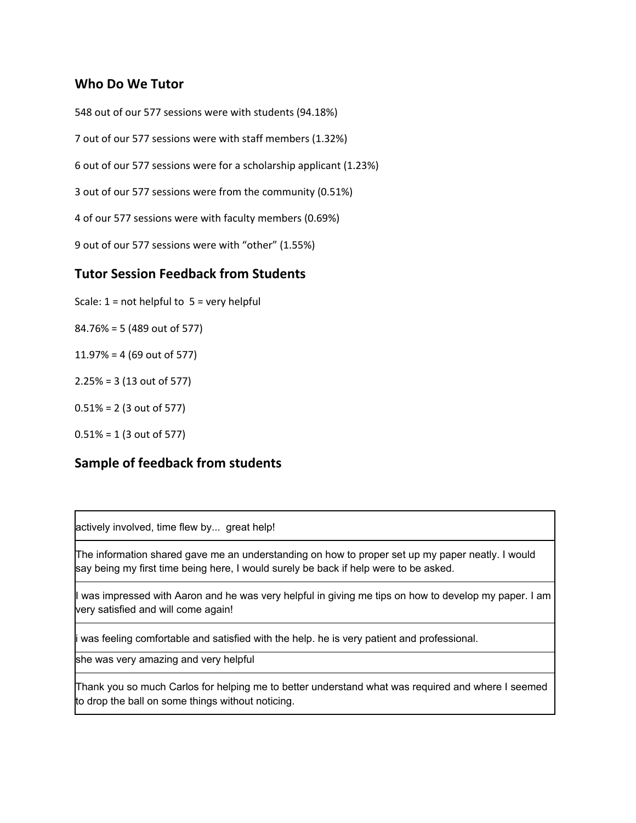#### **Who Do We Tutor**

 out of our 577 sessions were with students (94.18%) out of our 577 sessions were with staff members (1.32%) out of our 577 sessions were for a scholarship applicant (1.23%) out of our 577 sessions were from the community (0.51%) of our 577 sessions were with faculty members (0.69%) out of our 577 sessions were with "other" (1.55%)

#### **Tutor Session Feedback from Students**

- Scale:  $1 = not helpful to 5 = very helpful$
- 84.76% = 5 (489 out of 577)
- 11.97% = 4 (69 out of 577)
- 2.25% = 3 (13 out of 577)
- 0.51% = 2 (3 out of 577)
- 0.51% = 1 (3 out of 577)

#### **Sample of feedback from students**

actively involved, time flew by... great help!

The information shared gave me an understanding on how to proper set up my paper neatly. I would say being my first time being here, I would surely be back if help were to be asked.

I was impressed with Aaron and he was very helpful in giving me tips on how to develop my paper. I am very satisfied and will come again!

i was feeling comfortable and satisfied with the help. he is very patient and professional.

she was very amazing and very helpful

Thank you so much Carlos for helping me to better understand what was required and where I seemed to drop the ball on some things without noticing.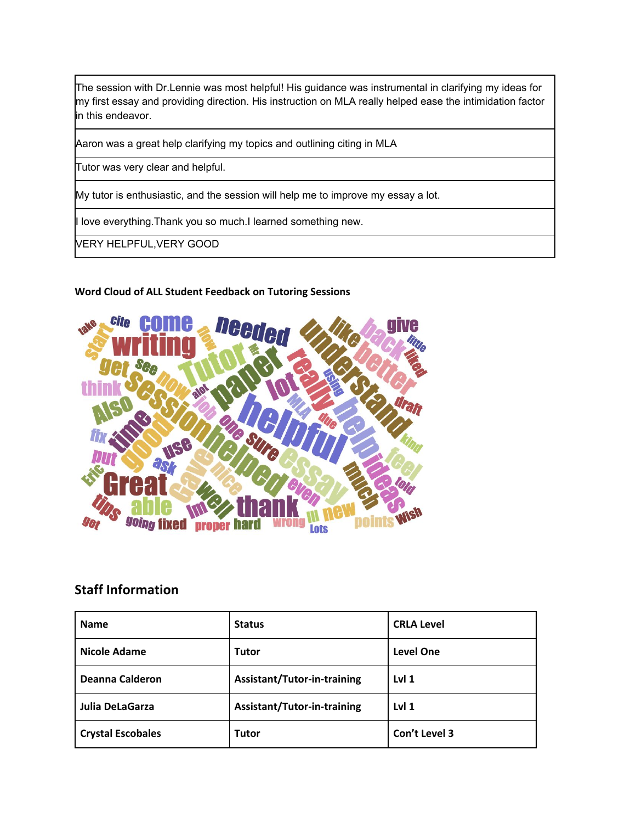The session with Dr.Lennie was most helpful! His guidance was instrumental in clarifying my ideas for my first essay and providing direction. His instruction on MLA really helped ease the intimidation factor in this endeavor.

Aaron was a great help clarifying my topics and outlining citing in MLA

Tutor was very clear and helpful.

My tutor is enthusiastic, and the session will help me to improve my essay a lot.

I love everything.Thank you so much.I learned something new.

VERY HELPFUL,VERY GOOD

#### **Word Cloud of ALL Student Feedback on Tutoring Sessions**



#### **Staff Information**

| <b>Name</b>              | <b>Status</b>               | <b>CRLA Level</b> |
|--------------------------|-----------------------------|-------------------|
| <b>Nicole Adame</b>      | <b>Tutor</b>                | <b>Level One</b>  |
| Deanna Calderon          | Assistant/Tutor-in-training | Lvl <sub>1</sub>  |
| Julia DeLaGarza          | Assistant/Tutor-in-training | Lvl <sub>1</sub>  |
| <b>Crystal Escobales</b> | Tutor                       | Con't Level 3     |